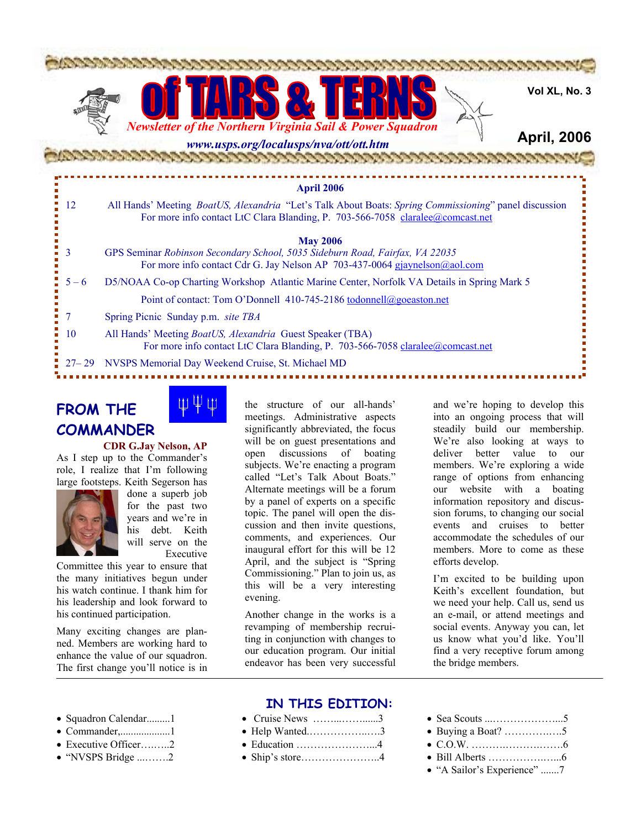

# **FROM THE COMMANDER**



#### **CDR G.Jay Nelson, AP**

As I step up to the Commander's role, I realize that I'm following large footsteps. Keith Segerson has



done a superb job for the past two years and we're in his debt. Keith will serve on the Executive

Committee this year to ensure that the many initiatives begun under his watch continue. I thank him for his leadership and look forward to his continued participation.

Many exciting changes are planned. Members are working hard to enhance the value of our squadron. The first change you'll notice is in the structure of our all-hands' meetings. Administrative aspects significantly abbreviated, the focus will be on guest presentations and open discussions of boating subjects. We're enacting a program called "Let's Talk About Boats." Alternate meetings will be a forum by a panel of experts on a specific topic. The panel will open the discussion and then invite questions, comments, and experiences. Our inaugural effort for this will be 12 April, and the subject is "Spring Commissioning." Plan to join us, as this will be a very interesting evening.

Another change in the works is a revamping of membership recruiting in conjunction with changes to our education program. Our initial endeavor has been very successful

and we're hoping to develop this into an ongoing process that will steadily build our membership. We're also looking at ways to deliver better value to our members. We're exploring a wide range of options from enhancing our website with a boating information repository and discussion forums, to changing our social events and cruises to better accommodate the schedules of our members. More to come as these efforts develop.

I'm excited to be building upon Keith's excellent foundation, but we need your help. Call us, send us an e-mail, or attend meetings and social events. Anyway you can, let us know what you'd like. You'll find a very receptive forum among the bridge members.

- Squadron Calendar.........1
- Commander,...................1
- Executive Officer….…..2
- "NVSPS Bridge ...…….2

### **IN THIS EDITION:**

- Cruise News ……...……......3
- Help Wanted.……………..….3
- Education …………………...4
- Ship's store…………………..4
- Sea Scouts ...………………...5
- Buying a Boat? ………….….5
- C.O.W. ……….……….…….6
- Bill Alberts …………….…...6
- "A Sailor's Experience" .......7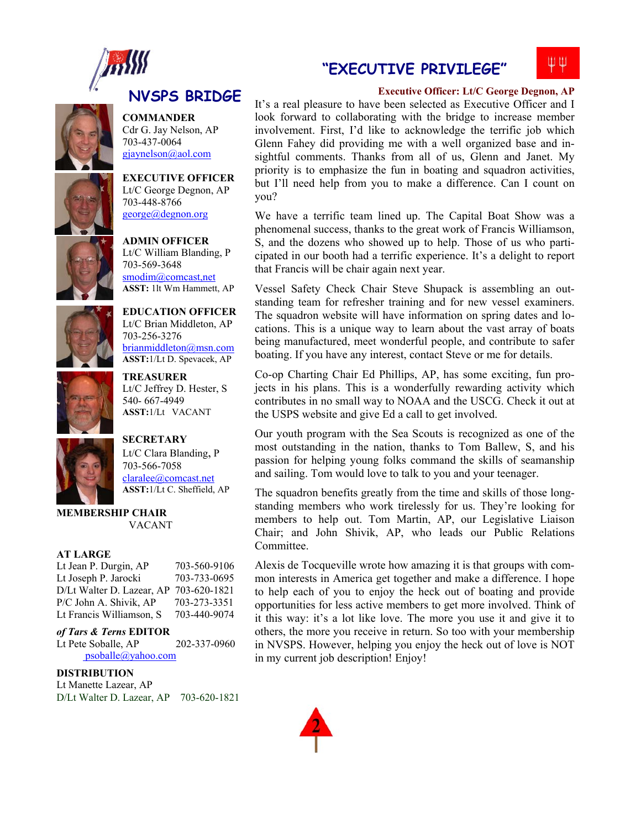



**COMMANDER**  Cdr G. Jay Nelson, AP 703-437-0064 gjaynelson@aol.com

**EXECUTIVE OFFICER**  Lt/C George Degnon, AP 703-448-8766 george@degnon.org

**ADMIN OFFICER**  Lt/C William Blanding, P

703-569-3648



smodim@comcast,net **ASST:** 1lt Wm Hammett, AP **EDUCATION OFFICER**  Lt/C Brian Middleton, AP

> 703-256-3276 brianmiddleton@msn.com **ASST:**1/Lt D. Spevacek, AP

**TREASURER** Lt/C Jeffrey D. Hester, S 540- 667-4949 **ASST:**1/Lt VACANT



**SECRETARY**  Lt/C Clara Blanding, P 703-566-7058 claralee@comcast.net **ASST:**1/Lt C. Sheffield, AP

#### **MEMBERSHIP CHAIR**  VACANT

#### **AT LARGE**

| Lt Jean P. Durgin, AP     | 703-560-9106 |
|---------------------------|--------------|
| Lt Joseph P. Jarocki      | 703-733-0695 |
| D/Lt Walter D. Lazear, AP | 703-620-1821 |
| P/C John A. Shivik, AP    | 703-273-3351 |
| Lt Francis Williamson, S  | 703-440-9074 |

#### *of Tars & Terns* **EDITOR**

Lt Pete Soballe, AP 202-337-0960 psoballe@yahoo.com

#### **DISTRIBUTION**

Lt Manette Lazear, AP D/Lt Walter D. Lazear, AP 703-620-1821

### **"EXECUTIVE PRIVILEGE"**



**Executive Officer: Lt/C George Degnon, AP** 

It's a real pleasure to have been selected as Executive Officer and I look forward to collaborating with the bridge to increase member involvement. First, I'd like to acknowledge the terrific job which Glenn Fahey did providing me with a well organized base and insightful comments. Thanks from all of us, Glenn and Janet. My priority is to emphasize the fun in boating and squadron activities, but I'll need help from you to make a difference. Can I count on you?

We have a terrific team lined up. The Capital Boat Show was a phenomenal success, thanks to the great work of Francis Williamson, S, and the dozens who showed up to help. Those of us who participated in our booth had a terrific experience. It's a delight to report that Francis will be chair again next year.

Vessel Safety Check Chair Steve Shupack is assembling an outstanding team for refresher training and for new vessel examiners. The squadron website will have information on spring dates and locations. This is a unique way to learn about the vast array of boats being manufactured, meet wonderful people, and contribute to safer boating. If you have any interest, contact Steve or me for details.

Co-op Charting Chair Ed Phillips, AP, has some exciting, fun projects in his plans. This is a wonderfully rewarding activity which contributes in no small way to NOAA and the USCG. Check it out at the USPS website and give Ed a call to get involved.

Our youth program with the Sea Scouts is recognized as one of the most outstanding in the nation, thanks to Tom Ballew, S, and his passion for helping young folks command the skills of seamanship and sailing. Tom would love to talk to you and your teenager.

The squadron benefits greatly from the time and skills of those longstanding members who work tirelessly for us. They're looking for members to help out. Tom Martin, AP, our Legislative Liaison Chair; and John Shivik, AP, who leads our Public Relations Committee.

Alexis de Tocqueville wrote how amazing it is that groups with common interests in America get together and make a difference. I hope to help each of you to enjoy the heck out of boating and provide opportunities for less active members to get more involved. Think of it this way: it's a lot like love. The more you use it and give it to others, the more you receive in return. So too with your membership in NVSPS. However, helping you enjoy the heck out of love is NOT in my current job description! Enjoy!

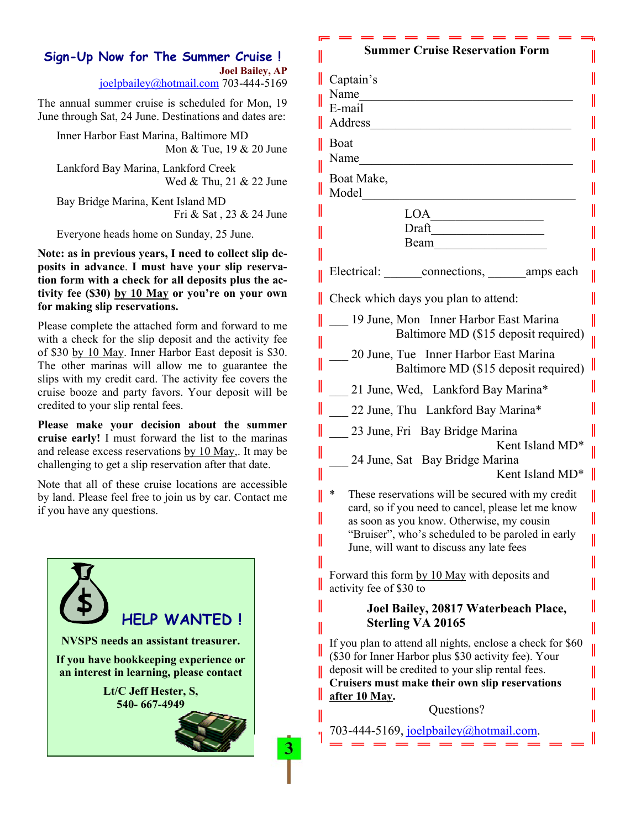### **Sign-Up Now for The Summer Cruise ! Joel Bailey, AP**

joelpbailey@hotmail.com 703-444-5169

The annual summer cruise is scheduled for Mon, 19 June through Sat, 24 June. Destinations and dates are:

Inner Harbor East Marina, Baltimore MD Mon & Tue, 19 & 20 June

Lankford Bay Marina, Lankford Creek Wed & Thu, 21 & 22 June

Bay Bridge Marina, Kent Island MD Fri & Sat , 23 & 24 June

Everyone heads home on Sunday, 25 June.

**Note: as in previous years, I need to collect slip deposits in advance**. **I must have your slip reservation form with a check for all deposits plus the activity fee (\$30) by 10 May or you're on your own for making slip reservations.** 

Please complete the attached form and forward to me with a check for the slip deposit and the activity fee of \$30 by 10 May. Inner Harbor East deposit is \$30. The other marinas will allow me to guarantee the slips with my credit card. The activity fee covers the cruise booze and party favors. Your deposit will be credited to your slip rental fees.

**Please make your decision about the summer cruise early!** I must forward the list to the marinas and release excess reservations by 10 May,. It may be challenging to get a slip reservation after that date.

Note that all of these cruise locations are accessible by land. Please feel free to join us by car. Contact me if you have any questions.



3.

#### **Summer Cruise Reservation Form**

I

| II | Captain's<br>Name<br>E-mail<br>Address                                                                             |  |  |
|----|--------------------------------------------------------------------------------------------------------------------|--|--|
|    | Boat<br>Name                                                                                                       |  |  |
|    |                                                                                                                    |  |  |
|    | Boat Make,<br>Model                                                                                                |  |  |
|    | LOA                                                                                                                |  |  |
|    | Draft                                                                                                              |  |  |
|    | Beam                                                                                                               |  |  |
|    | Electrical: connections, amps each                                                                                 |  |  |
|    | Check which days you plan to attend:                                                                               |  |  |
|    | 19 June, Mon Inner Harbor East Marina                                                                              |  |  |
|    | Baltimore MD (\$15 deposit required)                                                                               |  |  |
|    | 20 June, Tue Inner Harbor East Marina<br>Baltimore MD (\$15 deposit required)                                      |  |  |
|    | 21 June, Wed, Lankford Bay Marina*                                                                                 |  |  |
| II | 22 June, Thu Lankford Bay Marina*                                                                                  |  |  |
|    | 23 June, Fri Bay Bridge Marina<br>Kent Island MD*<br>24 June, Sat Bay Bridge Marina                                |  |  |
|    | Kent Island MD*                                                                                                    |  |  |
|    | *<br>These reservations will be secured with my credit                                                             |  |  |
|    | card, so if you need to cancel, please let me know<br>as soon as you know. Otherwise, my cousin                    |  |  |
|    | "Bruiser", who's scheduled to be paroled in early<br>June, will want to discuss any late fees                      |  |  |
|    |                                                                                                                    |  |  |
| II | Forward this form by 10 May with deposits and<br>activity fee of \$30 to                                           |  |  |
| II | Joel Bailey, 20817 Waterbeach Place,                                                                               |  |  |
| II | <b>Sterling VA 20165</b><br>I                                                                                      |  |  |
| I  | If you plan to attend all nights, enclose a check for \$60<br>(\$30 for Inner Harbor plus \$30 activity fee). Your |  |  |
|    | deposit will be credited to your slip rental fees.<br>Cruisers must make their own slip reservations               |  |  |
|    | after 10 May.                                                                                                      |  |  |
| II | Questions?                                                                                                         |  |  |
|    | 703-444-5169, joelpbailey@hotmail.com.                                                                             |  |  |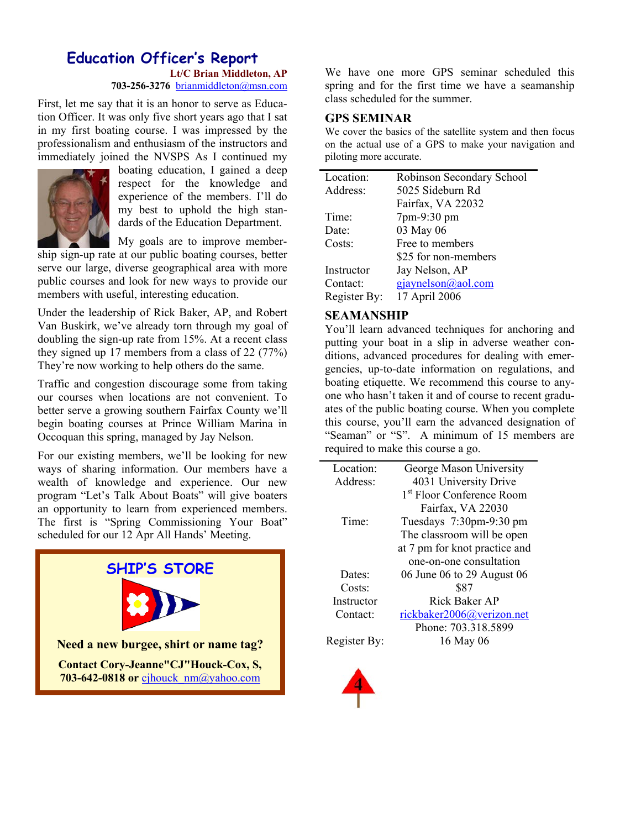## **Education Officer's Report Lt/C Brian Middleton, AP**

**703-256-3276** brianmiddleton@msn.com

First, let me say that it is an honor to serve as Education Officer. It was only five short years ago that I sat in my first boating course. I was impressed by the professionalism and enthusiasm of the instructors and immediately joined the NVSPS As I continued my



boating education, I gained a deep respect for the knowledge and experience of the members. I'll do my best to uphold the high standards of the Education Department.

My goals are to improve member-

ship sign-up rate at our public boating courses, better serve our large, diverse geographical area with more public courses and look for new ways to provide our members with useful, interesting education.

Under the leadership of Rick Baker, AP, and Robert Van Buskirk, we've already torn through my goal of doubling the sign-up rate from 15%. At a recent class they signed up 17 members from a class of 22 (77%) They're now working to help others do the same.

Traffic and congestion discourage some from taking our courses when locations are not convenient. To better serve a growing southern Fairfax County we'll begin boating courses at Prince William Marina in Occoquan this spring, managed by Jay Nelson.

For our existing members, we'll be looking for new ways of sharing information. Our members have a wealth of knowledge and experience. Our new program "Let's Talk About Boats" will give boaters an opportunity to learn from experienced members. The first is "Spring Commissioning Your Boat" scheduled for our 12 Apr All Hands' Meeting.



We have one more GPS seminar scheduled this spring and for the first time we have a seamanship class scheduled for the summer.

#### **GPS SEMINAR**

We cover the basics of the satellite system and then focus on the actual use of a GPS to make your navigation and piloting more accurate.

| Location:    | Robinson Secondary School |
|--------------|---------------------------|
| Address:     | 5025 Sideburn Rd          |
|              | Fairfax, VA 22032         |
| Time:        | 7pm-9:30 pm               |
| Date:        | 03 May 06                 |
| Costs:       | Free to members           |
|              | \$25 for non-members      |
| Instructor   | Jay Nelson, AP            |
| Contact:     | $g$ jaynelson@aol.com     |
| Register By: | 17 April 2006             |

#### **SEAMANSHIP**

You'll learn advanced techniques for anchoring and putting your boat in a slip in adverse weather conditions, advanced procedures for dealing with emergencies, up-to-date information on regulations, and boating etiquette. We recommend this course to anyone who hasn't taken it and of course to recent graduates of the public boating course. When you complete this course, you'll earn the advanced designation of "Seaman" or "S". A minimum of 15 members are required to make this course a go.

| Location:            | George Mason University               |
|----------------------|---------------------------------------|
| Address <sup>-</sup> | 4031 University Drive                 |
|                      | 1 <sup>st</sup> Floor Conference Room |
|                      | Fairfax, VA 22030                     |
| Time:                | Tuesdays 7:30pm-9:30 pm               |
|                      | The classroom will be open            |
|                      | at 7 pm for knot practice and         |
|                      | one-on-one consultation               |
| Dates:               | 06 June 06 to 29 August 06            |
| Costs:               | \$87                                  |
| Instructor           | <b>Rick Baker AP</b>                  |
| Contact:             | rickbaker2006@verizon.net             |
|                      | Phone: 703.318.5899                   |
| Register By:         | 16 May 06                             |
|                      |                                       |

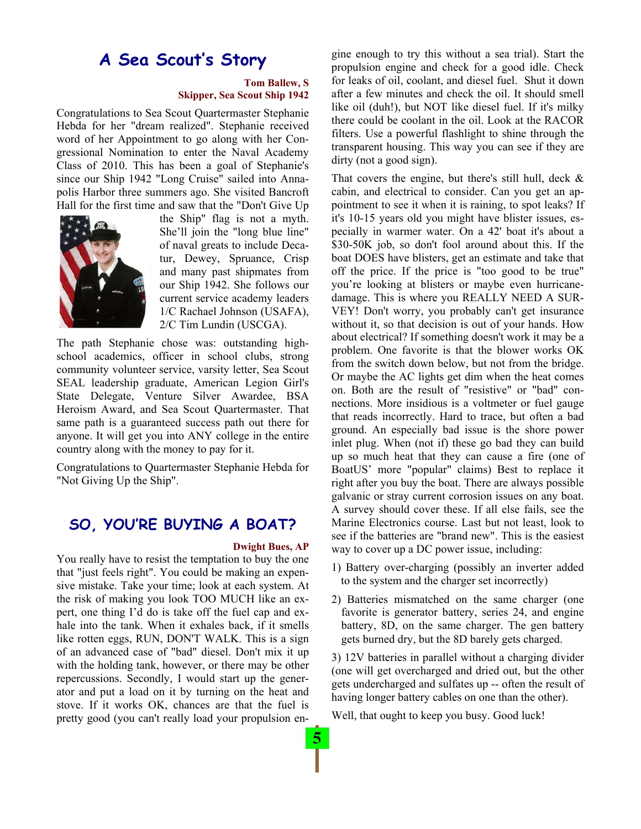# **A Sea Scout's Story**

#### **Tom Ballew, S Skipper, Sea Scout Ship 1942**

Congratulations to Sea Scout Quartermaster Stephanie Hebda for her "dream realized". Stephanie received word of her Appointment to go along with her Congressional Nomination to enter the Naval Academy Class of 2010. This has been a goal of Stephanie's since our Ship 1942 "Long Cruise" sailed into Annapolis Harbor three summers ago. She visited Bancroft Hall for the first time and saw that the "Don't Give Up



the Ship" flag is not a myth. She'll join the "long blue line" of naval greats to include Decatur, Dewey, Spruance, Crisp and many past shipmates from our Ship 1942. She follows our current service academy leaders 1/C Rachael Johnson (USAFA), 2/C Tim Lundin (USCGA).

The path Stephanie chose was: outstanding highschool academics, officer in school clubs, strong community volunteer service, varsity letter, Sea Scout SEAL leadership graduate, American Legion Girl's State Delegate, Venture Silver Awardee, BSA Heroism Award, and Sea Scout Quartermaster. That same path is a guaranteed success path out there for anyone. It will get you into ANY college in the entire country along with the money to pay for it.

Congratulations to Quartermaster Stephanie Hebda for "Not Giving Up the Ship".

### **SO, YOU'RE BUYING A BOAT?**

#### **Dwight Bues, AP**

You really have to resist the temptation to buy the one that "just feels right". You could be making an expensive mistake. Take your time; look at each system. At the risk of making you look TOO MUCH like an expert, one thing I'd do is take off the fuel cap and exhale into the tank. When it exhales back, if it smells like rotten eggs, RUN, DON'T WALK. This is a sign of an advanced case of "bad" diesel. Don't mix it up with the holding tank, however, or there may be other repercussions. Secondly, I would start up the generator and put a load on it by turning on the heat and stove. If it works OK, chances are that the fuel is pretty good (you can't really load your propulsion en-

gine enough to try this without a sea trial). Start the propulsion engine and check for a good idle. Check for leaks of oil, coolant, and diesel fuel. Shut it down after a few minutes and check the oil. It should smell like oil (duh!), but NOT like diesel fuel. If it's milky there could be coolant in the oil. Look at the RACOR filters. Use a powerful flashlight to shine through the transparent housing. This way you can see if they are dirty (not a good sign).

That covers the engine, but there's still hull, deck  $\&$ cabin, and electrical to consider. Can you get an appointment to see it when it is raining, to spot leaks? If it's 10-15 years old you might have blister issues, especially in warmer water. On a 42' boat it's about a \$30-50K job, so don't fool around about this. If the boat DOES have blisters, get an estimate and take that off the price. If the price is "too good to be true" you're looking at blisters or maybe even hurricanedamage. This is where you REALLY NEED A SUR-VEY! Don't worry, you probably can't get insurance without it, so that decision is out of your hands. How about electrical? If something doesn't work it may be a problem. One favorite is that the blower works OK from the switch down below, but not from the bridge. Or maybe the AC lights get dim when the heat comes on. Both are the result of "resistive" or "bad" connections. More insidious is a voltmeter or fuel gauge that reads incorrectly. Hard to trace, but often a bad ground. An especially bad issue is the shore power inlet plug. When (not if) these go bad they can build up so much heat that they can cause a fire (one of BoatUS' more "popular" claims) Best to replace it right after you buy the boat. There are always possible galvanic or stray current corrosion issues on any boat. A survey should cover these. If all else fails, see the Marine Electronics course. Last but not least, look to see if the batteries are "brand new". This is the easiest way to cover up a DC power issue, including:

- 1) Battery over-charging (possibly an inverter added to the system and the charger set incorrectly)
- 2) Batteries mismatched on the same charger (one favorite is generator battery, series 24, and engine battery, 8D, on the same charger. The gen battery gets burned dry, but the 8D barely gets charged.

3) 12V batteries in parallel without a charging divider (one will get overcharged and dried out, but the other gets undercharged and sulfates up -- often the result of having longer battery cables on one than the other).

Well, that ought to keep you busy. Good luck!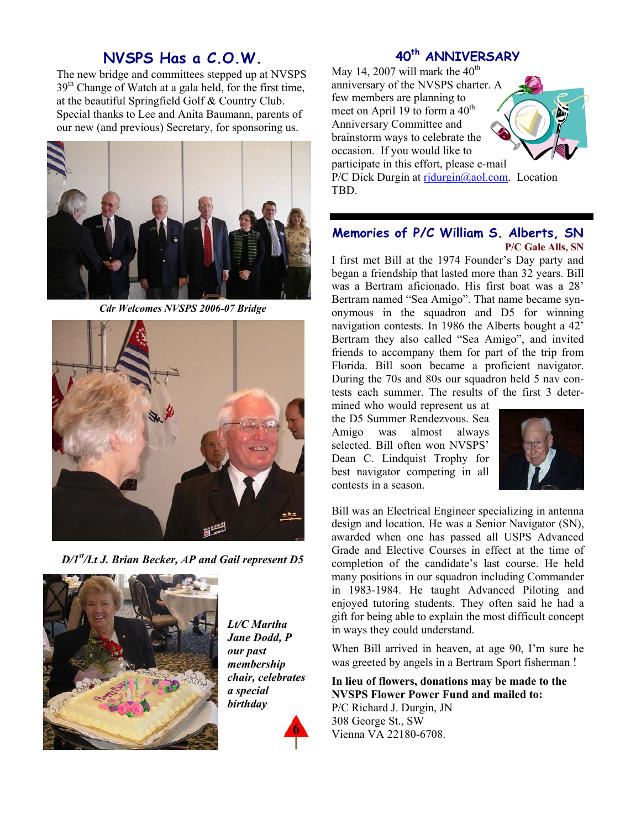## **NVSPS Has a C.O.W.**

The new bridge and committees stepped up at NVSPS 39<sup>th</sup> Change of Watch at a gala held, for the first time, at the beautiful Springfield Golf & Country Club. Special thanks to Lee and Anita Baumann, parents of our new (and previous) Secretary, for sponsoring us.



*Cdr Welcomes NVSPS 2006-07 Bridge* 



*D/1st/Lt J. Brian Becker, AP and Gail represent D5* 



*Lt/C Martha Jane Dodd, P our past membership chair, celebrates a special birthday* 



### **40th ANNIVERSARY**

May 14, 2007 will mark the  $40<sup>th</sup>$ anniversary of the NVSPS charter. A few members are planning to meet on April 19 to form a 40<sup>th</sup> Anniversary Committee and brainstorm ways to celebrate the occasion. If you would like to participate in this effort, please e-mail



P/C Dick Durgin at rjdurgin@aol.com. Location TBD.

### **Memories of P/C William S. Alberts, SN P/C Gale Alls, SN**

I first met Bill at the 1974 Founder's Day party and began a friendship that lasted more than 32 years. Bill was a Bertram aficionado. His first boat was a 28' Bertram named "Sea Amigo". That name became synonymous in the squadron and D5 for winning navigation contests. In 1986 the Alberts bought a 42' Bertram they also called "Sea Amigo", and invited friends to accompany them for part of the trip from Florida. Bill soon became a proficient navigator. During the 70s and 80s our squadron held 5 nav contests each summer. The results of the first 3 deter-

mined who would represent us at the D5 Summer Rendezvous. Sea Amigo was almost always selected. Bill often won NVSPS' Dean C. Lindquist Trophy for best navigator competing in all contests in a season.



Bill was an Electrical Engineer specializing in antenna design and location. He was a Senior Navigator (SN), awarded when one has passed all USPS Advanced Grade and Elective Courses in effect at the time of completion of the candidate's last course. He held many positions in our squadron including Commander in 1983-1984. He taught Advanced Piloting and enjoyed tutoring students. They often said he had a gift for being able to explain the most difficult concept in ways they could understand.

When Bill arrived in heaven, at age 90, I'm sure he was greeted by angels in a Bertram Sport fisherman !

**In lieu of flowers, donations may be made to the NVSPS Flower Power Fund and mailed to:**  P/C Richard J. Durgin, JN 308 George St., SW Vienna VA 22180-6708.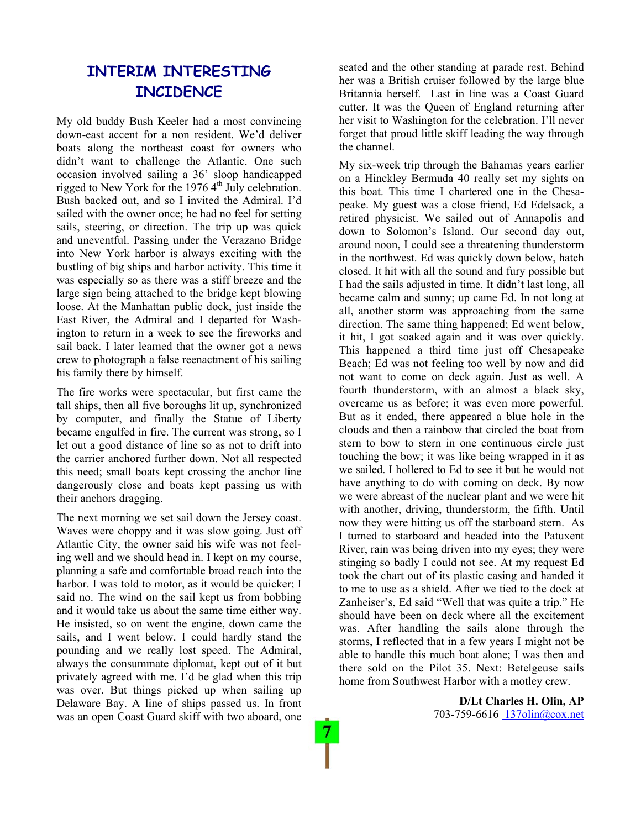# **INTERIM INTERESTING INCIDENCE**

My old buddy Bush Keeler had a most convincing down-east accent for a non resident. We'd deliver boats along the northeast coast for owners who didn't want to challenge the Atlantic. One such occasion involved sailing a 36' sloop handicapped rigged to New York for the  $19764<sup>th</sup>$  July celebration. Bush backed out, and so I invited the Admiral. I'd sailed with the owner once; he had no feel for setting sails, steering, or direction. The trip up was quick and uneventful. Passing under the Verazano Bridge into New York harbor is always exciting with the bustling of big ships and harbor activity. This time it was especially so as there was a stiff breeze and the large sign being attached to the bridge kept blowing loose. At the Manhattan public dock, just inside the East River, the Admiral and I departed for Washington to return in a week to see the fireworks and sail back. I later learned that the owner got a news crew to photograph a false reenactment of his sailing his family there by himself.

The fire works were spectacular, but first came the tall ships, then all five boroughs lit up, synchronized by computer, and finally the Statue of Liberty became engulfed in fire. The current was strong, so I let out a good distance of line so as not to drift into the carrier anchored further down. Not all respected this need; small boats kept crossing the anchor line dangerously close and boats kept passing us with their anchors dragging.

The next morning we set sail down the Jersey coast. Waves were choppy and it was slow going. Just off Atlantic City, the owner said his wife was not feeling well and we should head in. I kept on my course, planning a safe and comfortable broad reach into the harbor. I was told to motor, as it would be quicker; I said no. The wind on the sail kept us from bobbing and it would take us about the same time either way. He insisted, so on went the engine, down came the sails, and I went below. I could hardly stand the pounding and we really lost speed. The Admiral, always the consummate diplomat, kept out of it but privately agreed with me. I'd be glad when this trip was over. But things picked up when sailing up Delaware Bay. A line of ships passed us. In front was an open Coast Guard skiff with two aboard, one seated and the other standing at parade rest. Behind her was a British cruiser followed by the large blue Britannia herself. Last in line was a Coast Guard cutter. It was the Queen of England returning after her visit to Washington for the celebration. I'll never forget that proud little skiff leading the way through the channel.

My six-week trip through the Bahamas years earlier on a Hinckley Bermuda 40 really set my sights on this boat. This time I chartered one in the Chesapeake. My guest was a close friend, Ed Edelsack, a retired physicist. We sailed out of Annapolis and down to Solomon's Island. Our second day out, around noon, I could see a threatening thunderstorm in the northwest. Ed was quickly down below, hatch closed. It hit with all the sound and fury possible but I had the sails adjusted in time. It didn't last long, all became calm and sunny; up came Ed. In not long at all, another storm was approaching from the same direction. The same thing happened; Ed went below, it hit, I got soaked again and it was over quickly. This happened a third time just off Chesapeake Beach; Ed was not feeling too well by now and did not want to come on deck again. Just as well. A fourth thunderstorm, with an almost a black sky, overcame us as before; it was even more powerful. But as it ended, there appeared a blue hole in the clouds and then a rainbow that circled the boat from stern to bow to stern in one continuous circle just touching the bow; it was like being wrapped in it as we sailed. I hollered to Ed to see it but he would not have anything to do with coming on deck. By now we were abreast of the nuclear plant and we were hit with another, driving, thunderstorm, the fifth. Until now they were hitting us off the starboard stern. As I turned to starboard and headed into the Patuxent River, rain was being driven into my eyes; they were stinging so badly I could not see. At my request Ed took the chart out of its plastic casing and handed it to me to use as a shield. After we tied to the dock at Zanheiser's, Ed said "Well that was quite a trip." He should have been on deck where all the excitement was. After handling the sails alone through the storms, I reflected that in a few years I might not be able to handle this much boat alone; I was then and there sold on the Pilot 35. Next: Betelgeuse sails home from Southwest Harbor with a motley crew.

> **D/Lt Charles H. Olin, AP**  703-759-6616 137olin@cox.net